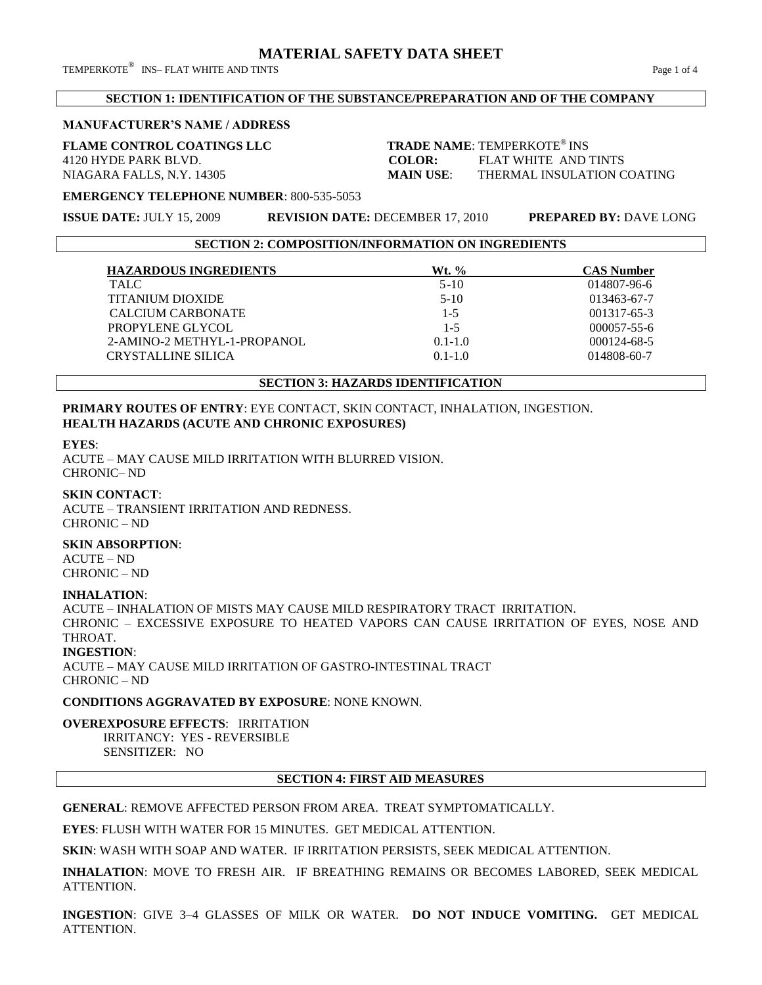TEMPERKOTE $^\circledR$  INS– FLAT WHITE AND TINTS  $^\circledR$ 

### **SECTION 1: IDENTIFICATION OF THE SUBSTANCE/PREPARATION AND OF THE COMPANY**

#### **MANUFACTURER'S NAME / ADDRESS**

# **FLAME CONTROL COATINGS LLC**

**TRADE NAME: TEMPERKOTE® INS** 4120 HYDE PARK BLVD. **COLOR:** FLAT WHITE AND TINTS NIAGARA FALLS, N.Y. 14305 **MAIN USE**: THERMAL INSULATION COATING

**EMERGENCY TELEPHONE NUMBER**: 800-535-5053

**ISSUE DATE:** JULY 15, 2009 **REVISION DATE:** DECEMBER 17, 2010 **PREPARED BY:** DAVE LONG

**SECTION 2: COMPOSITION/INFORMATION ON INGREDIENTS**

| <b>HAZARDOUS INGREDIENTS</b> | Wt. %       | <b>CAS Number</b> |
|------------------------------|-------------|-------------------|
| TALC.                        | $5-10$      | 014807-96-6       |
| <b>TITANIUM DIOXIDE</b>      | $5-10$      | 013463-67-7       |
| CALCIUM CARBONATE            | $1-5$       | 001317-65-3       |
| PROPYLENE GLYCOL             | $1 - 5$     | $000057 - 55 - 6$ |
| 2-AMINO-2 METHYL-1-PROPANOL  | $0.1 - 1.0$ | $000124 - 68 - 5$ |
| <b>CRYSTALLINE SILICA</b>    | $0.1 - 1.0$ | 014808-60-7       |

# **SECTION 3: HAZARDS IDENTIFICATION**

### **PRIMARY ROUTES OF ENTRY**: EYE CONTACT, SKIN CONTACT, INHALATION, INGESTION. **HEALTH HAZARDS (ACUTE AND CHRONIC EXPOSURES)**

**EYES**:

ACUTE – MAY CAUSE MILD IRRITATION WITH BLURRED VISION. CHRONIC– ND

### **SKIN CONTACT**:

ACUTE – TRANSIENT IRRITATION AND REDNESS. CHRONIC – ND

#### **SKIN ABSORPTION**:

ACUTE – ND CHRONIC – ND

# **INHALATION**:

ACUTE – INHALATION OF MISTS MAY CAUSE MILD RESPIRATORY TRACT IRRITATION. CHRONIC – EXCESSIVE EXPOSURE TO HEATED VAPORS CAN CAUSE IRRITATION OF EYES, NOSE AND THROAT.

#### **INGESTION**:

ACUTE – MAY CAUSE MILD IRRITATION OF GASTRO-INTESTINAL TRACT CHRONIC – ND

**CONDITIONS AGGRAVATED BY EXPOSURE**: NONE KNOWN.

**OVEREXPOSURE EFFECTS**: IRRITATION IRRITANCY: YES - REVERSIBLE SENSITIZER: NO

#### **SECTION 4: FIRST AID MEASURES**

**GENERAL**: REMOVE AFFECTED PERSON FROM AREA. TREAT SYMPTOMATICALLY.

**EYES**: FLUSH WITH WATER FOR 15 MINUTES. GET MEDICAL ATTENTION.

**SKIN**: WASH WITH SOAP AND WATER. IF IRRITATION PERSISTS, SEEK MEDICAL ATTENTION.

**INHALATION**: MOVE TO FRESH AIR. IF BREATHING REMAINS OR BECOMES LABORED, SEEK MEDICAL ATTENTION.

**INGESTION**: GIVE 3–4 GLASSES OF MILK OR WATER. **DO NOT INDUCE VOMITING.** GET MEDICAL ATTENTION.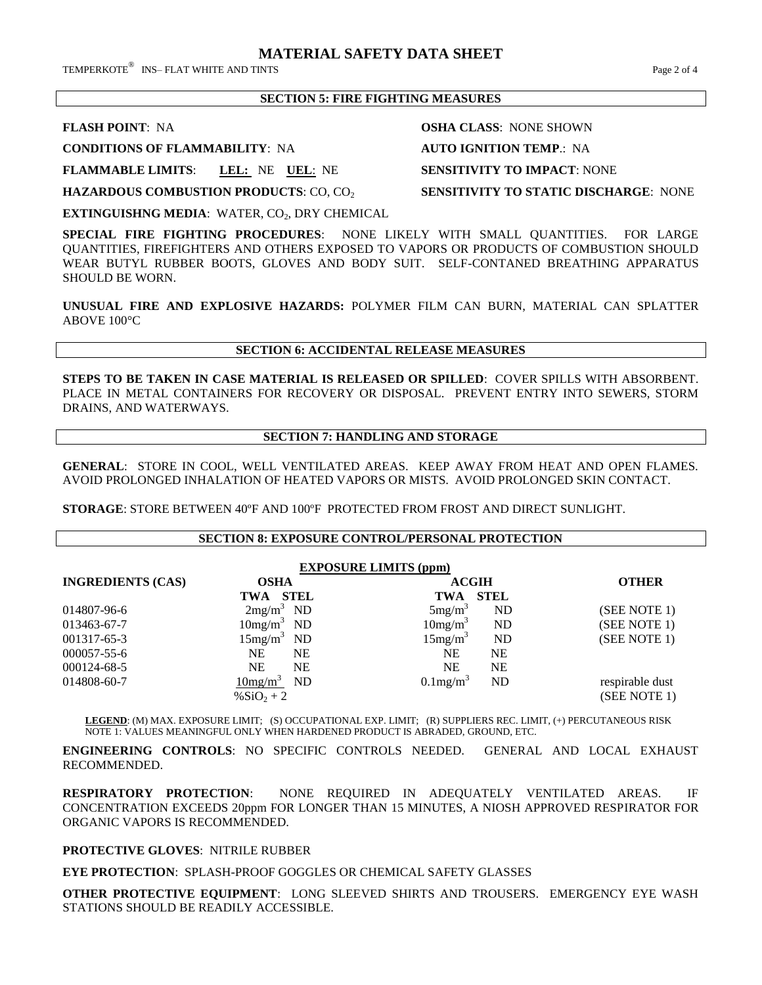TEMPERKOTE $^\circledR$  INS– FLAT WHITE AND TINTS  $^\circledR$ 

## **SECTION 5: FIRE FIGHTING MEASURES**

**CONDITIONS OF FLAMMABILITY**: NA **AUTO IGNITION TEMP**.: NA

**FLAMMABLE LIMITS**: **LEL:** NE **UEL**: NE **SENSITIVITY TO IMPACT**: NONE

**HAZARDOUS COMBUSTION PRODUCTS: CO, CO<sub>2</sub> SENSITIVITY TO STATIC DISCHARGE: NONE** 

**EXTINGUISHNG MEDIA: WATER, CO<sub>2</sub>, DRY CHEMICAL** 

**SPECIAL FIRE FIGHTING PROCEDURES**: NONE LIKELY WITH SMALL QUANTITIES. FOR LARGE QUANTITIES, FIREFIGHTERS AND OTHERS EXPOSED TO VAPORS OR PRODUCTS OF COMBUSTION SHOULD WEAR BUTYL RUBBER BOOTS, GLOVES AND BODY SUIT. SELF-CONTANED BREATHING APPARATUS SHOULD BE WORN.

**UNUSUAL FIRE AND EXPLOSIVE HAZARDS:** POLYMER FILM CAN BURN, MATERIAL CAN SPLATTER ABOVE 100°C

#### **SECTION 6: ACCIDENTAL RELEASE MEASURES**

**STEPS TO BE TAKEN IN CASE MATERIAL IS RELEASED OR SPILLED**: COVER SPILLS WITH ABSORBENT. PLACE IN METAL CONTAINERS FOR RECOVERY OR DISPOSAL. PREVENT ENTRY INTO SEWERS, STORM DRAINS, AND WATERWAYS.

### **SECTION 7: HANDLING AND STORAGE**

**GENERAL**: STORE IN COOL, WELL VENTILATED AREAS. KEEP AWAY FROM HEAT AND OPEN FLAMES. AVOID PROLONGED INHALATION OF HEATED VAPORS OR MISTS. AVOID PROLONGED SKIN CONTACT.

**STORAGE**: STORE BETWEEN 40ºF AND 100ºF PROTECTED FROM FROST AND DIRECT SUNLIGHT.

#### **SECTION 8: EXPOSURE CONTROL/PERSONAL PROTECTION**

| <b>EXPOSURE LIMITS (ppm)</b> |                            |                               |                 |  |  |
|------------------------------|----------------------------|-------------------------------|-----------------|--|--|
| <b>INGREDIENTS (CAS)</b>     | <b>OSHA</b>                | <b>ACGIH</b>                  | <b>OTHER</b>    |  |  |
|                              | <b>STEL</b><br>TWA         | <b>STEL</b><br>TWA            |                 |  |  |
| 014807-96-6                  | $2mg/m3$ ND                | 5mg/m <sup>3</sup><br>ND      | (SEE NOTE 1)    |  |  |
| 013463-67-7                  | $10mg/m3$ ND               | 10mg/m <sup>3</sup><br>ND     | (SEE NOTE 1)    |  |  |
| 001317-65-3                  | 15mg/m <sup>3</sup><br>ND. | 15mg/m <sup>3</sup><br>ND     | (SEE NOTE 1)    |  |  |
| $000057 - 55 - 6$            | NΕ<br>NE                   | NΕ<br><b>NE</b>               |                 |  |  |
| 000124-68-5                  | NΕ<br>NE                   | <b>NE</b><br><b>NE</b>        |                 |  |  |
| 014808-60-7                  | ND<br>10mg/m <sup>3</sup>  | $0.1$ mg/m <sup>3</sup><br>ND | respirable dust |  |  |
|                              | % $SiO_2 + 2$              |                               | (SEE NOTE 1)    |  |  |

**LEGEND**: (M) MAX. EXPOSURE LIMIT; (S) OCCUPATIONAL EXP. LIMIT; (R) SUPPLIERS REC. LIMIT, (+) PERCUTANEOUS RISK NOTE 1: VALUES MEANINGFUL ONLY WHEN HARDENED PRODUCT IS ABRADED, GROUND, ETC.

**ENGINEERING CONTROLS**: NO SPECIFIC CONTROLS NEEDED. GENERAL AND LOCAL EXHAUST RECOMMENDED.

**RESPIRATORY PROTECTION**: NONE REQUIRED IN ADEQUATELY VENTILATED AREAS. IF CONCENTRATION EXCEEDS 20ppm FOR LONGER THAN 15 MINUTES, A NIOSH APPROVED RESPIRATOR FOR ORGANIC VAPORS IS RECOMMENDED.

# **PROTECTIVE GLOVES**: NITRILE RUBBER

**EYE PROTECTION**: SPLASH-PROOF GOGGLES OR CHEMICAL SAFETY GLASSES

**OTHER PROTECTIVE EQUIPMENT**: LONG SLEEVED SHIRTS AND TROUSERS. EMERGENCY EYE WASH STATIONS SHOULD BE READILY ACCESSIBLE.

**FLASH POINT**: NA **OSHA CLASS**: NONE SHOWN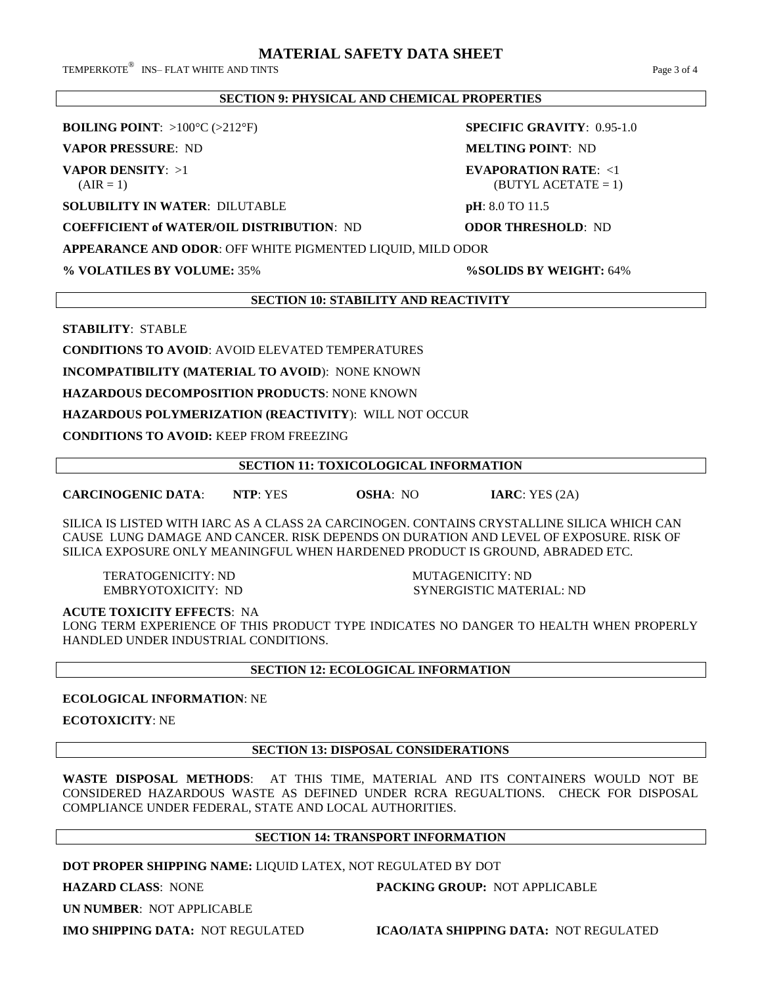TEMPERKOTE $^\circledR$  INS– FLAT WHITE AND TINTS  $^\circledR$ 

## **SECTION 9: PHYSICAL AND CHEMICAL PROPERTIES**

**BOILING POINT**: >100°C (>212°F) **SPECIFIC GRAVITY**: 0.95-1.0

**VAPOR PRESSURE**: ND **MELTING POINT**: ND

**SOLUBILITY IN WATER**: DILUTABLE **pH**: 8.0 TO 11.5

**COEFFICIENT of WATER/OIL DISTRIBUTION**: ND **ODOR THRESHOLD**: ND

**VAPOR DENSITY**: >1 **EVAPORATION RATE**: <1  $\text{(AIR = 1)}$  (BUTYL ACETATE = 1)

**APPEARANCE AND ODOR**: OFF WHITE PIGMENTED LIQUID, MILD ODOR

**% VOLATILES BY VOLUME:** 35% **%SOLIDS BY WEIGHT:** 64%

### **SECTION 10: STABILITY AND REACTIVITY**

**STABILITY**: STABLE

**CONDITIONS TO AVOID**: AVOID ELEVATED TEMPERATURES

**INCOMPATIBILITY (MATERIAL TO AVOID**): NONE KNOWN

**HAZARDOUS DECOMPOSITION PRODUCTS**: NONE KNOWN

# **HAZARDOUS POLYMERIZATION (REACTIVITY**): WILL NOT OCCUR

**CONDITIONS TO AVOID:** KEEP FROM FREEZING

## **SECTION 11: TOXICOLOGICAL INFORMATION**

**CARCINOGENIC DATA**: **NTP**: YES **OSHA**: NO **IARC**: YES (2A)

SILICA IS LISTED WITH IARC AS A CLASS 2A CARCINOGEN. CONTAINS CRYSTALLINE SILICA WHICH CAN CAUSE LUNG DAMAGE AND CANCER. RISK DEPENDS ON DURATION AND LEVEL OF EXPOSURE. RISK OF SILICA EXPOSURE ONLY MEANINGFUL WHEN HARDENED PRODUCT IS GROUND, ABRADED ETC.

TERATOGENICITY: ND MUTAGENICITY: ND

EMBRYOTOXICITY: ND SYNERGISTIC MATERIAL: ND

**ACUTE TOXICITY EFFECTS**: NA

LONG TERM EXPERIENCE OF THIS PRODUCT TYPE INDICATES NO DANGER TO HEALTH WHEN PROPERLY HANDLED UNDER INDUSTRIAL CONDITIONS.

# **SECTION 12: ECOLOGICAL INFORMATION**

**ECOLOGICAL INFORMATION**: NE

**ECOTOXICITY**: NE

# **SECTION 13: DISPOSAL CONSIDERATIONS**

**WASTE DISPOSAL METHODS**: AT THIS TIME, MATERIAL AND ITS CONTAINERS WOULD NOT BE CONSIDERED HAZARDOUS WASTE AS DEFINED UNDER RCRA REGUALTIONS. CHECK FOR DISPOSAL COMPLIANCE UNDER FEDERAL, STATE AND LOCAL AUTHORITIES.

# **SECTION 14: TRANSPORT INFORMATION**

**DOT PROPER SHIPPING NAME:** LIQUID LATEX, NOT REGULATED BY DOT

**HAZARD CLASS**: NONE **PACKING GROUP:** NOT APPLICABLE

**UN NUMBER**: NOT APPLICABLE

**IMO SHIPPING DATA:** NOT REGULATED **ICAO/IATA SHIPPING DATA:** NOT REGULATED